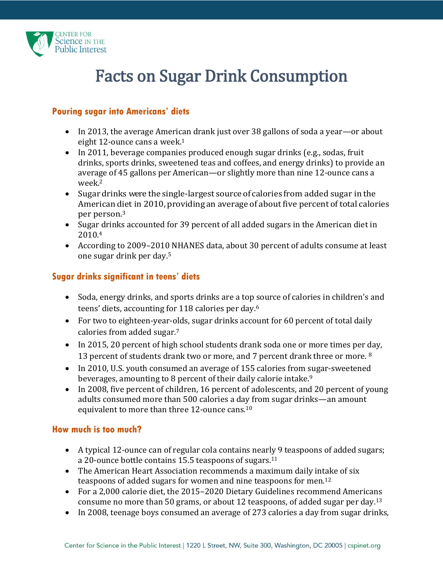

# Facts on Sugar Drink Consumption

#### **Pouring sugar into Americans' diets**

- In 2013, the average American drank just over 38 gallons of soda a year—or about eight 12-ounce cans a week. 1
- In 2011, beverage companies produced enough sugar drinks (e.g., sodas, fruit drinks, sports drinks, sweetened teas and coffees, and energy drinks) to provide an average of 45 gallons per American—or slightly more than nine 12-ounce cans a week.<sup>2</sup>
- Sugardrinks were the single-largest source of calories from added sugar in the American diet in 2010, providing an average of about five percent of total calories per person.<sup>3</sup>
- Sugar drinks accounted for 39 percent of all added sugars in the American diet in 2010.<sup>4</sup>
- According to 2009–2010 NHANES data, about 30 percent of adults consume at least one sugar drink per day.<sup>5</sup>

### **Sugar drinks significant in teens' diets**

- Soda, energy drinks, and sports drinks are a top source of calories in children's and teens' diets, accounting for 118 calories per day. 6
- For two to eighteen-year-olds, sugar drinks account for 60 percent of total daily calories from added sugar.<sup>7</sup>
- In 2015, 20 percent of high school students drank soda one or more times per day, 13 percent of students drank two or more, and 7 percent drank three or more. <sup>8</sup>
- In 2010, U.S. youth consumed an average of 155 calories from sugar-sweetened beverages, amounting to 8 percent of their daily calorie intake.<sup>9</sup>
- In 2008, five percent of children, 16 percent of adolescents, and 20 percent of young adults consumed more than 500 calories a day from sugar drinks—an amount equivalent to more than three 12-ounce cans.<sup>10</sup>

### **How much is too much?**

- A typical 12-ounce can of regular cola contains nearly 9 teaspoons of added sugars; a 20-ounce bottle contains 15.5 teaspoons of sugars.<sup>11</sup>
- The American Heart Association recommends a maximum daily intake of six teaspoons of added sugars for women and nine teaspoons for men.<sup>12</sup>
- For a 2,000 calorie diet, the 2015–2020 Dietary Guidelines recommend Americans consume no more than 50 grams, or about 12 teaspoons, of added sugar per day.<sup>13</sup>
- In 2008, teenage boys consumed an average of 273 calories a day from sugar drinks,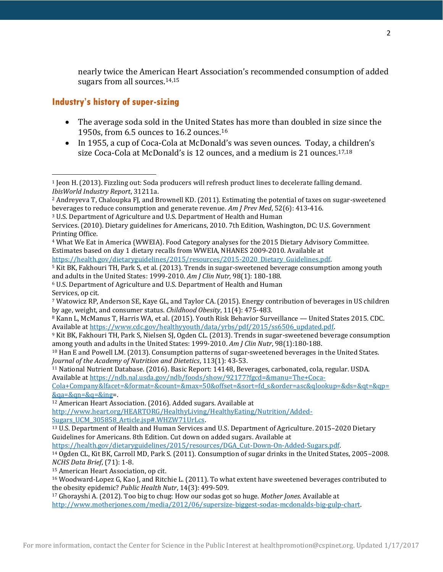nearly twice the American Heart Association's recommended consumption of added sugars from all sources.14,15

## **Industry's history of super-sizing**

 $\overline{\phantom{a}}$ 

- The average soda sold in the United States has more than doubled in size since the 1950s, from 6.5 ounces to 16.2 ounces.<sup>16</sup>
- In 1955, a cup of Coca-Cola at McDonald's was seven ounces. Today, a children's size Coca-Cola at McDonald's is 12 ounces, and a medium is 21 ounces. 17,18

[http://www.heart.org/HEARTORG/HealthyLiving/HealthyEating/Nutrition/Added-](http://www.heart.org/HEARTORG/HealthyLiving/HealthyEating/Nutrition/Added-Sugars_UCM_305858_Article.jsp#.WHZW71UrLcs)[Sugars\\_UCM\\_305858\\_Article.jsp#.WHZW71UrLcs.](http://www.heart.org/HEARTORG/HealthyLiving/HealthyEating/Nutrition/Added-Sugars_UCM_305858_Article.jsp#.WHZW71UrLcs)

```
13 U.S. Department of Health and Human Services and U.S. Department of Agriculture. 2015–2020 Dietary 
Guidelines for Americans. 8th Edition. Cut down on added sugars. Available at
```
[https://health.gov/dietaryguidelines/2015/resources/DGA\\_Cut-Down-On-Added-Sugars.pdf.](https://health.gov/dietaryguidelines/2015/resources/DGA_Cut-Down-On-Added-Sugars.pdf)

<sup>15</sup> American Heart Association, op cit.

<sup>16</sup> Woodward-Lopez G, Kao J, and Ritchie L. (2011). To what extent have sweetened beverages contributed to the obesity epidemic? *Public Health Nutr*, 14(3): 499-509.

<sup>17</sup> Ghorayshi A. (2012). Too big to chug: How our sodas got so huge. *Mother Jones*. Available at [http://www.motherjones.com/media/2012/06/supersize-biggest-sodas-mcdonalds-big-gulp-chart.](http://www.motherjones.com/media/2012/06/supersize-biggest-sodas-mcdonalds-big-gulp-chart)

<sup>1</sup> Jeon H. (2013). Fizzling out: Soda producers will refresh product lines to decelerate falling demand*. IbisWorld Industry Report*, 31211a.

<sup>2</sup> Andreyeva T, Chaloupka FJ, and Brownell KD. (2011). Estimating the potential of taxes on sugar-sweetened beverages to reduce consumption and generate revenue*. Am J Prev Med*, 52(6): 413-416.

<sup>3</sup> U.S. Department of Agriculture and U.S. Department of Health and Human

Services. (2010). Dietary guidelines for Americans, 2010. 7th Edition, Washington, DC: U.S. Government Printing Office.

<sup>4</sup> What We Eat in America (WWEIA). Food Category analyses for the 2015 Dietary Advisory Committee. Estimates based on day 1 dietary recalls from WWEIA, NHANES 2009-2010. Available at

[https://health.gov/dietaryguidelines/2015/resources/2015-2020\\_Dietary\\_Guidelines.pdf.](https://health.gov/dietaryguidelines/2015/resources/2015-2020_Dietary_Guidelines.pdf)

<sup>5</sup> Kit BK, Fakhouri TH, Park S, et al. (2013). Trends in sugar-sweetened beverage consumption among youth and adults in the United States: 1999-2010. *Am J Clin Nutr,* 98(1): 180-188.

<sup>6</sup> U.S. Department of Agriculture and U.S. Department of Health and Human Services, op cit.

<sup>7</sup> Watowicz RP, Anderson SE, Kaye GL, and Taylor CA. (2015). Energy contribution of beverages in US children by age, weight, and consumer status. *Childhood Obesity*, 11(4): 475-483.

<sup>8</sup> Kann L, McManus T, Harris WA, et al. (2015). Youth Risk Behavior Surveillance — United States 2015. CDC. Available a[t https://www.cdc.gov/healthyyouth/data/yrbs/pdf/2015/ss6506\\_updated.pdf.](https://www.cdc.gov/healthyyouth/data/yrbs/pdf/2015/ss6506_updated.pdf)

<sup>9</sup> Kit BK, Fakhouri TH, Park S, Nielsen SJ, Ogden CL. (2013). Trends in sugar-sweetened beverage consumption among youth and adults in the United States: 1999-2010. *Am J Clin Nutr*, 98(1):180-188.

<sup>10</sup> Han E and Powell LM. (2013). Consumption patterns of sugar-sweetened beverages in the United States. *Journal of the Academy of Nutrition and Dietetics*, 113(1): 43-53.

<sup>11</sup> National Nutrient Database. (2016). Basic Report: 14148, Beverages, carbonated, cola, regular. USDA. Available a[t https://ndb.nal.usda.gov/ndb/foods/show/92177?fgcd=&manu=The+Coca-](https://ndb.nal.usda.gov/ndb/foods/show/92177?fgcd=&manu=The+Coca-Cola+Company&lfacet=&format=&count=&max=50&offset=&sort=fd_s&order=asc&qlookup=&ds=&qt=&qp=&qa=&qn=&q=&ing)

[Cola+Company&lfacet=&format=&count=&max=50&offset=&sort=fd\\_s&order=asc&qlookup=&ds=&qt=&qp=](https://ndb.nal.usda.gov/ndb/foods/show/92177?fgcd=&manu=The+Coca-Cola+Company&lfacet=&format=&count=&max=50&offset=&sort=fd_s&order=asc&qlookup=&ds=&qt=&qp=&qa=&qn=&q=&ing)  $&qa = &qa = &qa =$ 

<sup>12</sup> American Heart Association. (2016). Added sugars. Available at

<sup>14</sup> Ogden CL, Kit BK, Carroll MD, Park S. (2011). Consumption of sugar drinks in the United States, 2005–2008. *NCHS Data Brief*, (71): 1-8.